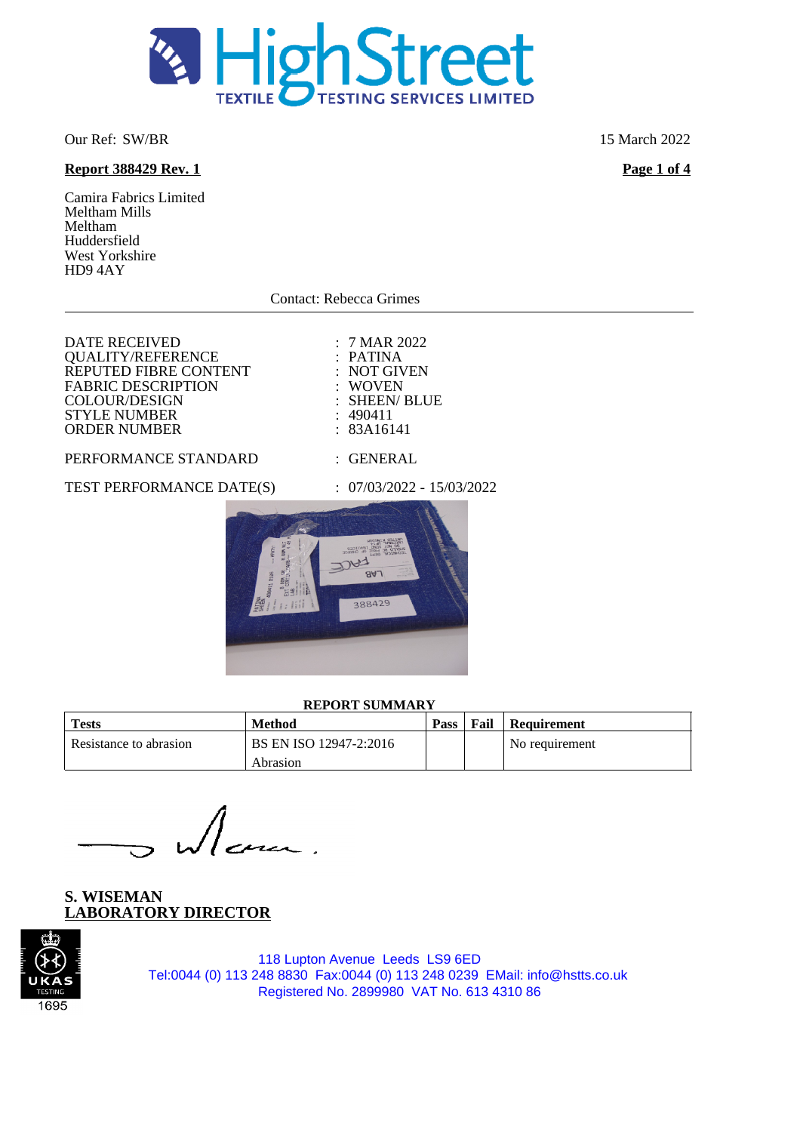

Our Ref: SW/BR 15 March 2022

# **Report 388429 Rev. 1 Page 1 of 4**

Camira Fabrics Limited Meltham Mills Meltham Huddersfield West Yorkshire HD9 4AY

Contact: Rebecca Grimes

DATE RECEIVED : 7 MAR 2022<br>
OUALITY/REFERENCE : PATINA QUALITY/REFERENCE : PATINA<br>REPUTED FIBRE CONTENT : NOT GIVEN REPUTED FIBRE CONTENT : NOT GIV<br>FABRIC DESCRIPTION : WOVEN FABRIC DESCRIPTION : WOVEN<br>COLOUR/DESIGN : SHEEN/ BLUE COLOUR/DESIGN : SHEEN<br>
STYLE NUMBER : 490411 STYLE NUMBER : 490411<br>
ORDER NUMBER : 83A16141 ORDER NUMBER

### PERFORMANCE STANDARD : GENERAL

TEST PERFORMANCE DATE(S) : 07/03/2022 - 15/03/2022



### **REPORT SUMMARY**

| <b>Tests</b>           | Method                 | <b>Pass</b> | Fail | Requirement    |
|------------------------|------------------------|-------------|------|----------------|
| Resistance to abrasion | BS EN ISO 12947-2:2016 |             |      | No requirement |
|                        | Abrasion               |             |      |                |

**S. WISEMAN LABORATORY DIRECTOR**

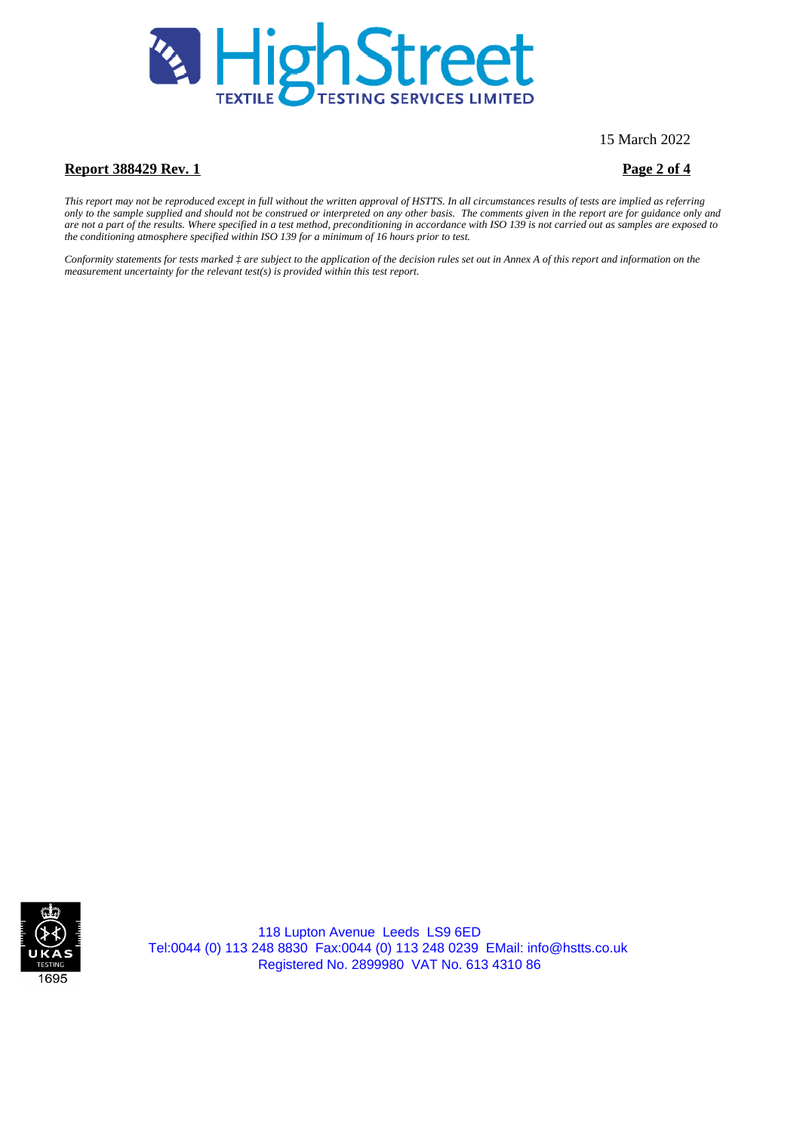

15 March 2022

## **Report 388429 Rev. 1 Page 2 of 4**

*This report may not be reproduced except in full without the written approval of HSTTS. In all circumstances results of tests are implied as referring only to the sample supplied and should not be construed or interpreted on any other basis. The comments given in the report are for guidance only and are not a part of the results. Where specified in a test method, preconditioning in accordance with ISO 139 is not carried out as samples are exposed to the conditioning atmosphere specified within ISO 139 for a minimum of 16 hours prior to test.*

*Conformity statements for tests marked ‡ are subject to the application of the decision rules set out in Annex A of this report and information on the measurement uncertainty for the relevant test(s) is provided within this test report.*

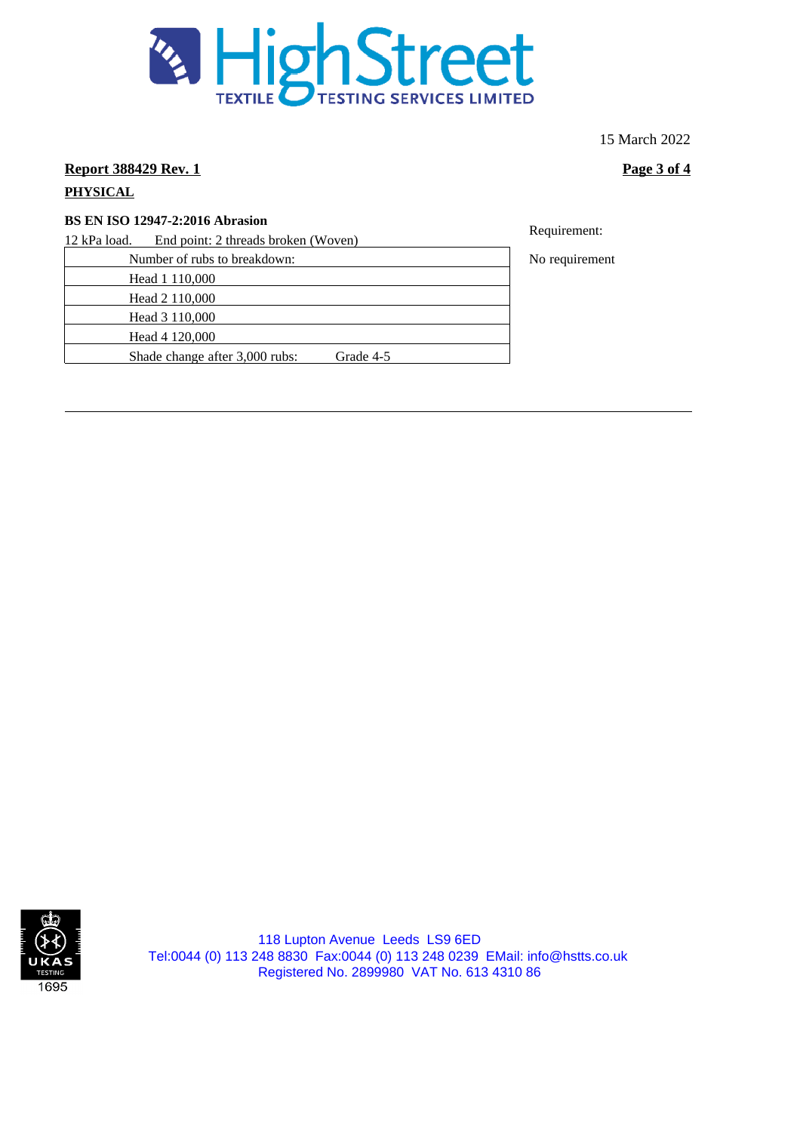

15 March 2022

**Report 388429 Rev. 1 Page 3 of 4** 

# **PHYSICAL**

**BS EN ISO 12947-2:2016 Abrasion** 

12 kPa load. End point: 2 threads broken (Woven)

Number of rubs to breakdown: No requirement

Head 1 110,000

Head 2 110,000

Head 3 110,000 Head 4 120,000

Shade change after 3,000 rubs: Grade 4-5

Requirement: